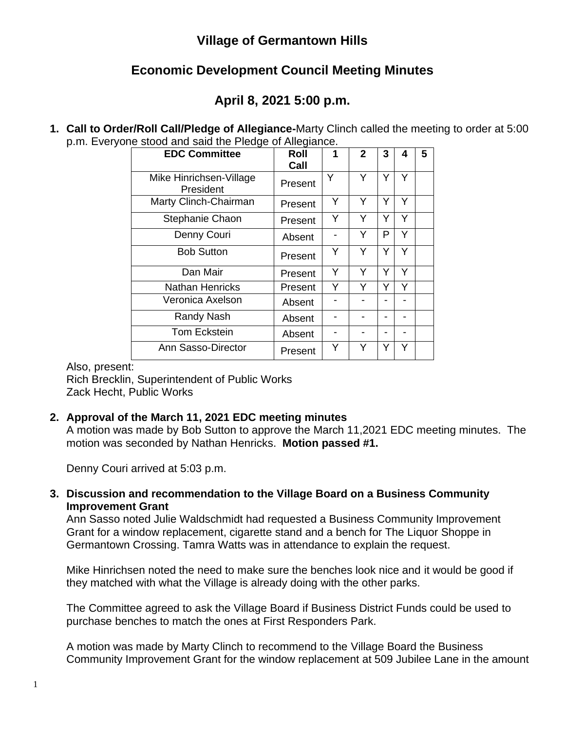# **Village of Germantown Hills**

# **Economic Development Council Meeting Minutes**

# **April 8, 2021 5:00 p.m.**

**1. Call to Order/Roll Call/Pledge of Allegiance-**Marty Clinch called the meeting to order at 5:00 p.m. Everyone stood and said the Pledge of Allegiance.

| <b>EDC Committee</b>                 | <b>Roll</b><br>Call | 1 | $\mathbf{2}$ | 3 | 4 | 5 |
|--------------------------------------|---------------------|---|--------------|---|---|---|
| Mike Hinrichsen-Village<br>President | Present             | Y | Y            | Y | Y |   |
| Marty Clinch-Chairman                | Present             | Y | Y            | Y | Y |   |
| Stephanie Chaon                      | Present             | Υ | Y            | Y | Y |   |
| Denny Couri                          | Absent              |   | Y            | P | Y |   |
| <b>Bob Sutton</b>                    | Present             | Y | Υ            | Y | Y |   |
| Dan Mair                             | Present             | Y | Y            | Y | Y |   |
| <b>Nathan Henricks</b>               | Present             | Y | Y            | Y | Y |   |
| Veronica Axelson                     | Absent              |   |              |   |   |   |
| Randy Nash                           | Absent              |   |              |   |   |   |
| <b>Tom Eckstein</b>                  | Absent              |   |              |   |   |   |
| Ann Sasso-Director                   | Present             | Y | Y            | Y | Y |   |

#### Also, present:

Rich Brecklin, Superintendent of Public Works Zack Hecht, Public Works

## **2. Approval of the March 11, 2021 EDC meeting minutes**

A motion was made by Bob Sutton to approve the March 11,2021 EDC meeting minutes. The motion was seconded by Nathan Henricks. **Motion passed #1.**

Denny Couri arrived at 5:03 p.m.

#### **3. Discussion and recommendation to the Village Board on a Business Community Improvement Grant**

Ann Sasso noted Julie Waldschmidt had requested a Business Community Improvement Grant for a window replacement, cigarette stand and a bench for The Liquor Shoppe in Germantown Crossing. Tamra Watts was in attendance to explain the request.

Mike Hinrichsen noted the need to make sure the benches look nice and it would be good if they matched with what the Village is already doing with the other parks.

The Committee agreed to ask the Village Board if Business District Funds could be used to purchase benches to match the ones at First Responders Park.

A motion was made by Marty Clinch to recommend to the Village Board the Business Community Improvement Grant for the window replacement at 509 Jubilee Lane in the amount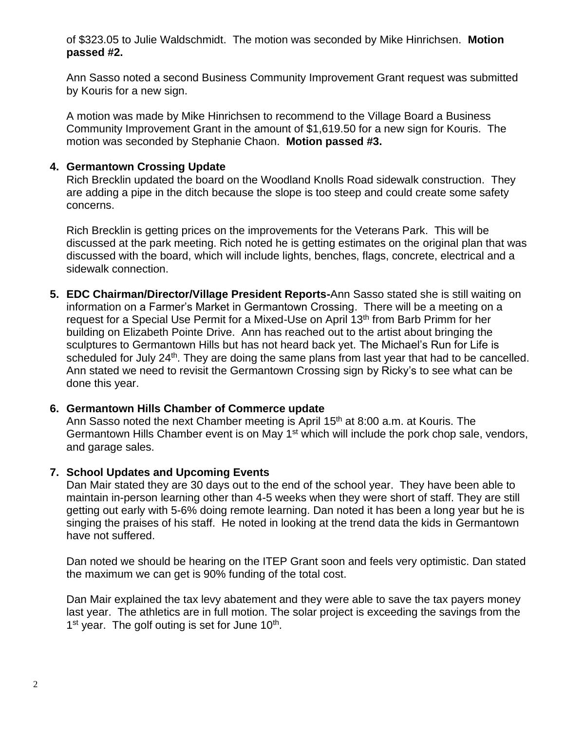of \$323.05 to Julie Waldschmidt. The motion was seconded by Mike Hinrichsen. **Motion passed #2.**

Ann Sasso noted a second Business Community Improvement Grant request was submitted by Kouris for a new sign.

A motion was made by Mike Hinrichsen to recommend to the Village Board a Business Community Improvement Grant in the amount of \$1,619.50 for a new sign for Kouris. The motion was seconded by Stephanie Chaon. **Motion passed #3.**

### **4. Germantown Crossing Update**

Rich Brecklin updated the board on the Woodland Knolls Road sidewalk construction. They are adding a pipe in the ditch because the slope is too steep and could create some safety concerns.

Rich Brecklin is getting prices on the improvements for the Veterans Park. This will be discussed at the park meeting. Rich noted he is getting estimates on the original plan that was discussed with the board, which will include lights, benches, flags, concrete, electrical and a sidewalk connection.

**5. EDC Chairman/Director/Village President Reports-**Ann Sasso stated she is still waiting on information on a Farmer's Market in Germantown Crossing. There will be a meeting on a request for a Special Use Permit for a Mixed-Use on April 13<sup>th</sup> from Barb Primm for her building on Elizabeth Pointe Drive. Ann has reached out to the artist about bringing the sculptures to Germantown Hills but has not heard back yet. The Michael's Run for Life is scheduled for July 24<sup>th</sup>. They are doing the same plans from last year that had to be cancelled. Ann stated we need to revisit the Germantown Crossing sign by Ricky's to see what can be done this year.

#### **6. Germantown Hills Chamber of Commerce update**

Ann Sasso noted the next Chamber meeting is April 15<sup>th</sup> at 8:00 a.m. at Kouris. The Germantown Hills Chamber event is on May 1<sup>st</sup> which will include the pork chop sale, vendors, and garage sales.

#### **7. School Updates and Upcoming Events**

Dan Mair stated they are 30 days out to the end of the school year. They have been able to maintain in-person learning other than 4-5 weeks when they were short of staff. They are still getting out early with 5-6% doing remote learning. Dan noted it has been a long year but he is singing the praises of his staff. He noted in looking at the trend data the kids in Germantown have not suffered.

Dan noted we should be hearing on the ITEP Grant soon and feels very optimistic. Dan stated the maximum we can get is 90% funding of the total cost.

Dan Mair explained the tax levy abatement and they were able to save the tax payers money last year. The athletics are in full motion. The solar project is exceeding the savings from the 1<sup>st</sup> year. The golf outing is set for June 10<sup>th</sup>.